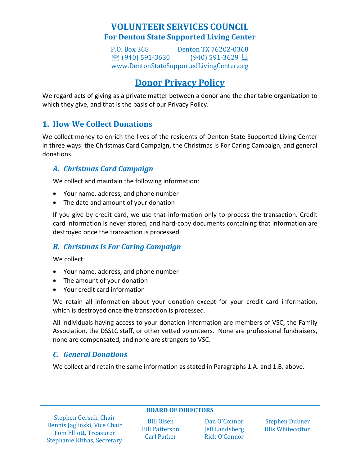## **VOLUNTEER SERVICES COUNCIL For Denton State Supported Living Center**

P.O. Box 368 Denton TX 76202-0368 ● (940) 591-3630 (940) 591-3629 昌 www.DentonStateSupportedLivingCenter.org 

# **Donor Privacy Policy**

We regard acts of giving as a private matter between a donor and the charitable organization to which they give, and that is the basis of our Privacy Policy.

## **1. How We Collect Donations**

We collect money to enrich the lives of the residents of Denton State Supported Living Center in three ways: the Christmas Card Campaign, the Christmas Is For Caring Campaign, and general donations.

#### *A. Christmas Card Campaign*

We collect and maintain the following information:

- Your name, address, and phone number
- The date and amount of your donation

If you give by credit card, we use that information only to process the transaction. Credit card information is never stored, and hard‐copy documents containing that information are destroyed once the transaction is processed.

#### *B. Christmas Is For Caring Campaign*

We collect:

- Your name, address, and phone number
- The amount of your donation
- Your credit card information

We retain all information about your donation except for your credit card information, which is destroyed once the transaction is processed.

All individuals having access to your donation information are members of VSC, the Family Association, the DSSLC staff, or other vetted volunteers. None are professional fundraisers, none are compensated, and none are strangers to VSC.

#### *C. General Donations*

We collect and retain the same information as stated in Paragraphs 1.A. and 1.B. above.

**BOARD OF DIRECTORS**

Stephen Gersuk, Chair Dennis Jaglinski, Vice Chair Tom Elliott, Treasurer Stephanie Kithas, Secretary

Bill Olsen **Bill Patterson** Carl Parker

Dan O'Connor **Jeff Landsberg** Rick O'Connor 

Stephen Dubner Ulis Whitecotton